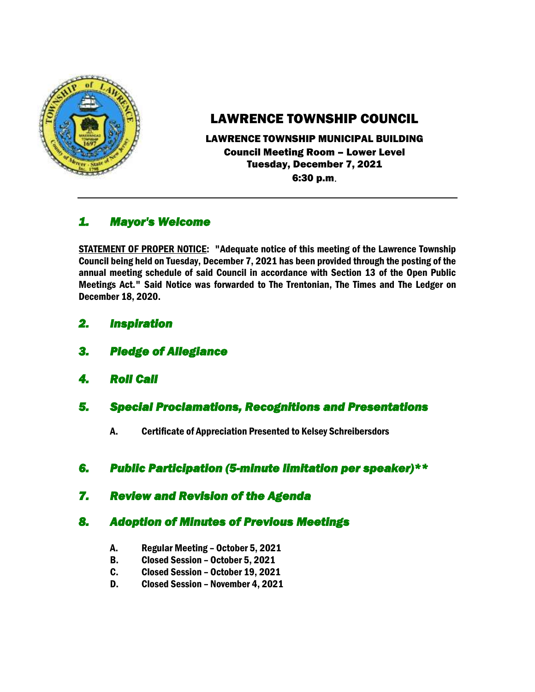

# LAWRENCE TOWNSHIP COUNCIL

LAWRENCE TOWNSHIP MUNICIPAL BUILDING Council Meeting Room – Lower Level Tuesday, December 7, 2021 6:30 p.m.

## *1. Mayor's Welcome*

STATEMENT OF PROPER NOTICE: "Adequate notice of this meeting of the Lawrence Township Council being held on Tuesday, December 7, 2021 has been provided through the posting of the annual meeting schedule of said Council in accordance with Section 13 of the Open Public Meetings Act." Said Notice was forwarded to The Trentonian, The Times and The Ledger on December 18, 2020.

- *2. Inspiration*
- *3. Pledge of Allegiance*
- *4. Roll Call*
- *5. Special Proclamations, Recognitions and Presentations* 
	- A. Certificate of Appreciation Presented to Kelsey Schreibersdors
- *6. Public Participation (5-minute limitation per speaker)\*\**
- *7. Review and Revision of the Agenda*

## *8. Adoption of Minutes of Previous Meetings*

- A. Regular Meeting October 5, 2021
- B. Closed Session October 5, 2021
- C. Closed Session October 19, 2021
- D. Closed Session November 4, 2021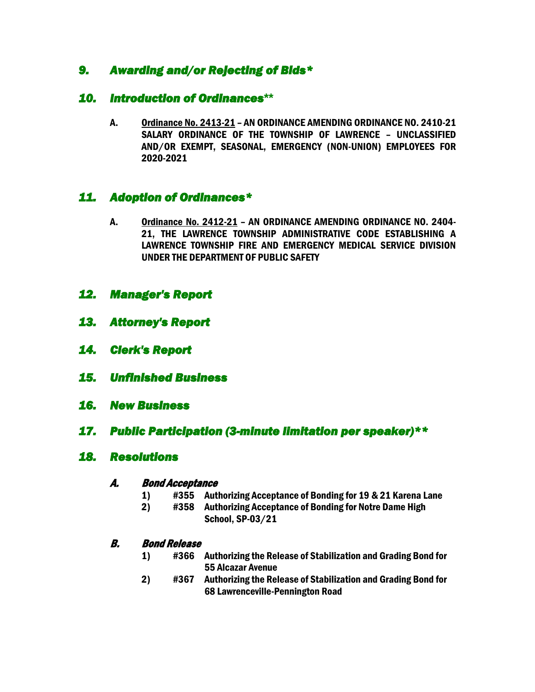## *9. Awarding and/or Rejecting of Bids\**

## *10. Introduction of Ordinances***\*\***

A. Ordinance No. 2413-21 – AN ORDINANCE AMENDING ORDINANCE NO. 2410-21 SALARY ORDINANCE OF THE TOWNSHIP OF LAWRENCE – UNCLASSIFIED AND/OR EXEMPT, SEASONAL, EMERGENCY (NON-UNION) EMPLOYEES FOR 2020-2021

## *11. Adoption of Ordinances\**

- A. Ordinance No. 2412-21 AN ORDINANCE AMENDING ORDINANCE NO. 2404- 21, THE LAWRENCE TOWNSHIP ADMINISTRATIVE CODE ESTABLISHING A LAWRENCE TOWNSHIP FIRE AND EMERGENCY MEDICAL SERVICE DIVISION UNDER THE DEPARTMENT OF PUBLIC SAFETY
- *12. Manager's Report*
- *13. Attorney's Report*
- *14. Clerk's Report*
- *15. Unfinished Business*
- *16. New Business*
- *17. Public Participation (3-minute limitation per speaker)\*\**

#### *18. Resolutions*

#### A. Bond Acceptance

- 1) #355 Authorizing Acceptance of Bonding for 19 & 21 Karena Lane
- 2) #358 Authorizing Acceptance of Bonding for Notre Dame High School, SP-03/21

#### B. Bond Release

- 1) #366 Authorizing the Release of Stabilization and Grading Bond for 55 Alcazar Avenue
- 2) #367 Authorizing the Release of Stabilization and Grading Bond for 68 Lawrenceville-Pennington Road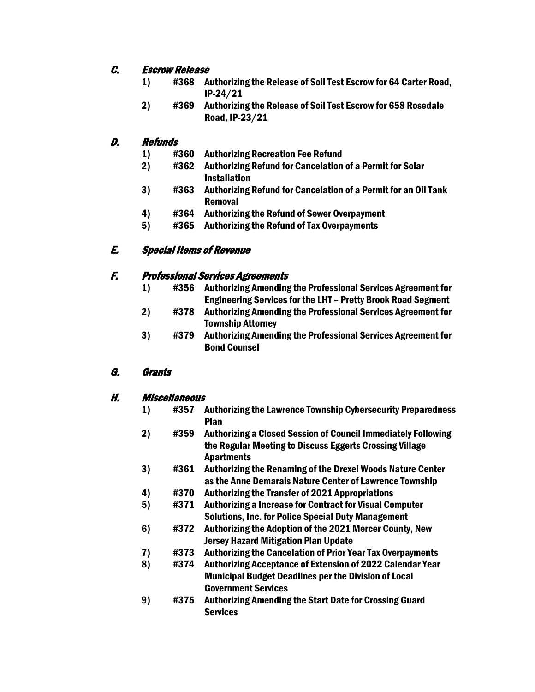#### C. Escrow Release

- 1) #368 Authorizing the Release of Soil Test Escrow for 64 Carter Road, IP-24/21
- 2) #369 Authorizing the Release of Soil Test Escrow for 658 Rosedale Road, IP-23/21

#### D. Refunds

- 1) #360 Authorizing Recreation Fee Refund
- 2) #362 Authorizing Refund for Cancelation of a Permit for Solar Installation
- 3) #363 Authorizing Refund for Cancelation of a Permit for an Oil Tank Removal
- 4) #364 Authorizing the Refund of Sewer Overpayment
- 5) #365 Authorizing the Refund of Tax Overpayments

### E. Special Items of Revenue

#### F. Professional Services Agreements

- 1) #356 Authorizing Amending the Professional Services Agreement for Engineering Services for the LHT – Pretty Brook Road Segment
- 2) #378 Authorizing Amending the Professional Services Agreement for Township Attorney
- 3) #379 Authorizing Amending the Professional Services Agreement for Bond Counsel

#### G. Grants

#### H. Miscellaneous

- 1) #357 Authorizing the Lawrence Township Cybersecurity Preparedness Plan
- 2) #359 Authorizing a Closed Session of Council Immediately Following the Regular Meeting to Discuss Eggerts Crossing Village Apartments
- 3) #361 Authorizing the Renaming of the Drexel Woods Nature Center as the Anne Demarais Nature Center of Lawrence Township
- 4) #370 Authorizing the Transfer of 2021 Appropriations
- 5) #371 Authorizing a Increase for Contract for Visual Computer Solutions, Inc. for Police Special Duty Management
- 6) #372 Authorizing the Adoption of the 2021 Mercer County, New Jersey Hazard Mitigation Plan Update
- 7) #373 Authorizing the Cancelation of Prior Year Tax Overpayments
- 8) #374 Authorizing Acceptance of Extension of 2022 Calendar Year Municipal Budget Deadlines per the Division of Local Government Services
- 9) #375 Authorizing Amending the Start Date for Crossing Guard **Services**